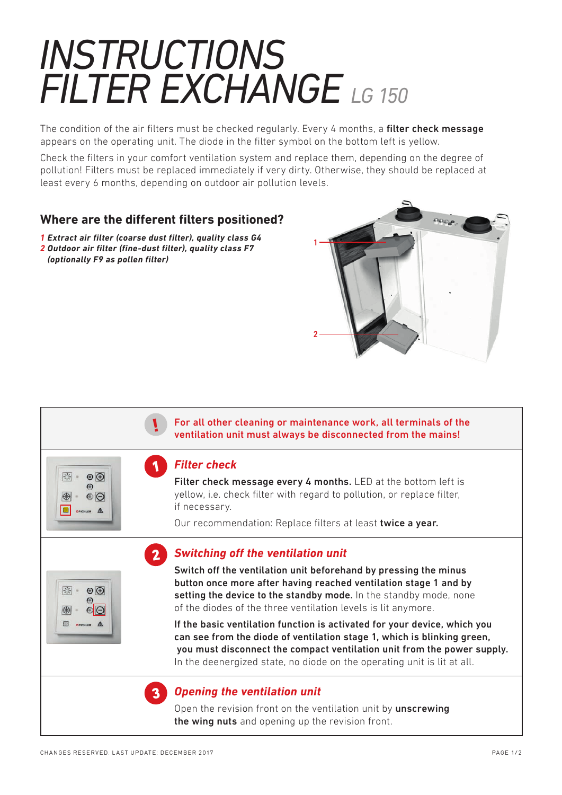## *INSTRUCTIONS FILTER EXCHANGE LG 150*

The condition of the air filters must be checked regularly. Every 4 months, a filter check message appears on the operating unit. The diode in the filter symbol on the bottom left is yellow.

Check the filters in your comfort ventilation system and replace them, depending on the degree of pollution! Filters must be replaced immediately if very dirty. Otherwise, they should be replaced at least every 6 months, depending on outdoor air pollution levels.

## **Where are the different filters positioned?**

*1 Extract air filter (coarse dust filter), quality class G4 2 Outdoor air filter (fine-dust filter), quality class F7 (optionally F9 as pollen filter)*